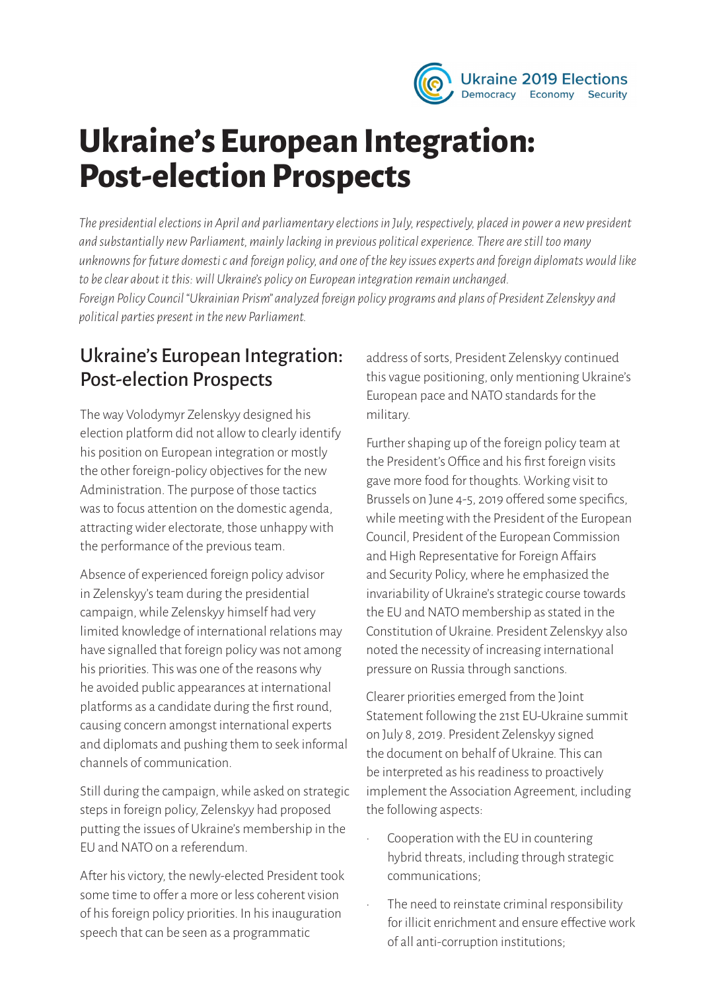

# **Ukraine's European Integration: Post-election Prospects**

*The presidential elections in April and parliamentary elections in July, respectively, placed in power a new president and substantially new Parliament, mainly lacking in previous political experience. There are still too many unknowns for future domesti c and foreign policy, and one of the key issues experts and foreign diplomats would like to be clear about it this: will Ukraine's policy on European integration remain unchanged. Foreign Policy Council "Ukrainian Prism" analyzed foreign policy programs and plans of President Zelenskyy and political parties present in the new Parliament.* 

#### Ukraine's European Integration: Post-election Prospects

The way Volodymyr Zelenskyy designed his election platform did not allow to clearly identify his position on European integration or mostly the other foreign-policy objectives for the new Administration. The purpose of those tactics was to focus attention on the domestic agenda, attracting wider electorate, those unhappy with the performance of the previous team.

Absence of experienced foreign policy advisor in Zelenskyy's team during the presidential campaign, while Zelenskyy himself had very limited knowledge of international relations may have signalled that foreign policy was not among his priorities. This was one of the reasons why he avoided public appearances at international platforms as a candidate during the first round, causing concern amongst international experts and diplomats and pushing them to seek informal channels of communication.

Still during the campaign, while asked on strategic steps in foreign policy, Zelenskyy had proposed putting the issues of Ukraine's membership in the EU and NATO on a referendum.

After his victory, the newly-elected President took some time to offer a more or less coherent vision of his foreign policy priorities. In his inauguration speech that can be seen as a programmatic

address of sorts, President Zelenskyy continued this vague positioning, only mentioning Ukraine's European pace and NATO standards for the military.

Further shaping up of the foreign policy team at the President's Office and his first foreign visits gave more food for thoughts. Working visit to Brussels on June 4-5, 2019 offered some specifics, while meeting with the President of the European Council, President of the European Commission and High Representative for Foreign Affairs and Security Policy, where he emphasized the invariability of Ukraine's strategic course towards the EU and NATO membership as stated in the Constitution of Ukraine. President Zelenskyy also noted the necessity of increasing international pressure on Russia through sanctions.

Clearer priorities emerged from the Joint Statement following the 21st EU-Ukraine summit on July 8, 2019. President Zelenskyy signed the document on behalf of Ukraine. This can be interpreted as his readiness to proactively implement the Association Agreement, including the following aspects:

- Cooperation with the EU in countering hybrid threats, including through strategic communications;
- The need to reinstate criminal responsibility for illicit enrichment and ensure effective work of all anti-corruption institutions;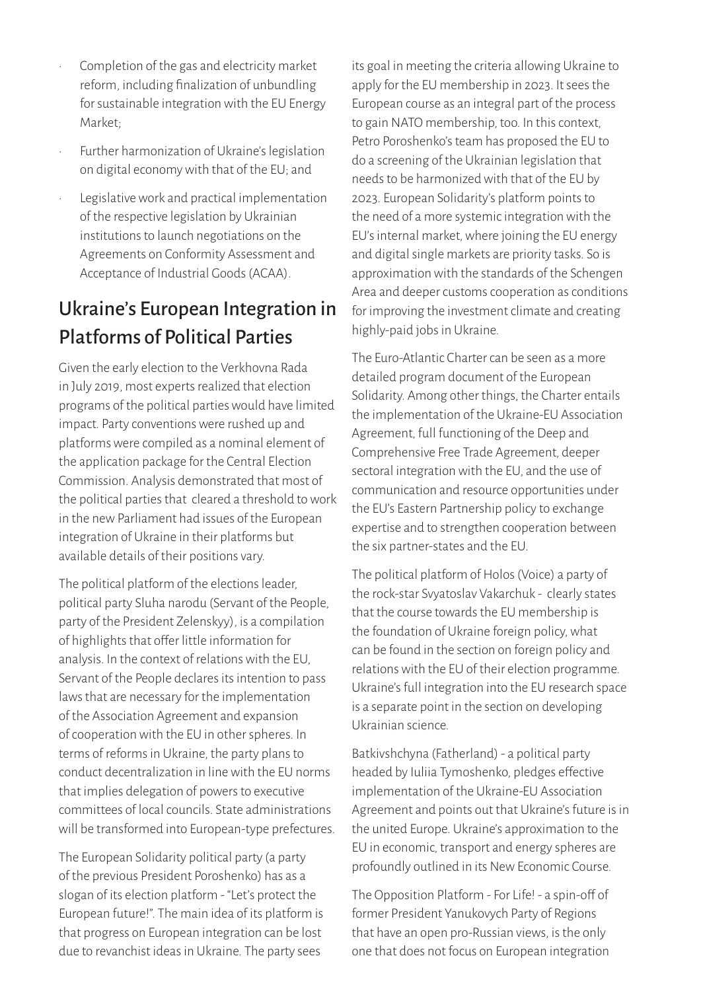- Completion of the gas and electricity market reform, including finalization of unbundling for sustainable integration with the EU Energy Market;
- Further harmonization of Ukraine's legislation on digital economy with that of the EU; and
- Legislative work and practical implementation of the respective legislation by Ukrainian institutions to launch negotiations on the Agreements on Conformity Assessment and Acceptance of Industrial Goods (ACAA).

### Ukraine's European Integration in Platforms of Political Parties

Given the early election to the Verkhovna Rada in July 2019, most experts realized that election programs of the political parties would have limited impact. Party conventions were rushed up and platforms were compiled as a nominal element of the application package for the Central Election Commission. Analysis demonstrated that most of the political parties that cleared a threshold to work in the new Parliament had issues of the European integration of Ukraine in their platforms but available details of their positions vary.

The political platform of the elections leader, political party Sluha narodu (Servant of the People, party of the President Zelenskyy), is a compilation of highlights that offer little information for analysis. In the context of relations with the EU, Servant of the People declares its intention to pass laws that are necessary for the implementation of the Association Agreement and expansion of cooperation with the EU in other spheres. In terms of reforms in Ukraine, the party plans to conduct decentralization in line with the EU norms that implies delegation of powers to executive committees of local councils. State administrations will be transformed into European-type prefectures.

The European Solidarity political party (a party of the previous President Poroshenko) has as a slogan of its election platform - "Let's protect the European future!". The main idea of its platform is that progress on European integration can be lost due to revanchist ideas in Ukraine. The party sees

its goal in meeting the criteria allowing Ukraine to apply for the EU membership in 2023. It sees the European course as an integral part of the process to gain NATO membership, too. In this context, Petro Poroshenko's team has proposed the EU to do a screening of the Ukrainian legislation that needs to be harmonized with that of the EU by 2023. European Solidarity's platform points to the need of a more systemic integration with the EU's internal market, where joining the EU energy and digital single markets are priority tasks. So is approximation with the standards of the Schengen Area and deeper customs cooperation as conditions for improving the investment climate and creating highly-paid jobs in Ukraine.

The Euro-Atlantic Charter can be seen as a more detailed program document of the European Solidarity. Among other things, the Charter entails the implementation of the Ukraine-EU Association Agreement, full functioning of the Deep and Comprehensive Free Trade Agreement, deeper sectoral integration with the EU, and the use of communication and resource opportunities under the EU's Eastern Partnership policy to exchange expertise and to strengthen cooperation between the six partner-states and the EU.

The political platform of Holos (Voice) a party of the rock-star Svyatoslav Vakarchuk - clearly states that the course towards the EU membership is the foundation of Ukraine foreign policy, what can be found in the section on foreign policy and relations with the EU of their election programme. Ukraine's full integration into the EU research space is a separate point in the section on developing Ukrainian science.

Batkivshchyna (Fatherland) - a political party headed by Iuliia Tymoshenko, pledges effective implementation of the Ukraine-EU Association Agreement and points out that Ukraine's future is in the united Europe. Ukraine's approximation to the EU in economic, transport and energy spheres are profoundly outlined in its New Economic Course.

The Opposition Platform - For Life! - a spin-off of former President Yanukovych Party of Regions that have an open pro-Russian views, is the only one that does not focus on European integration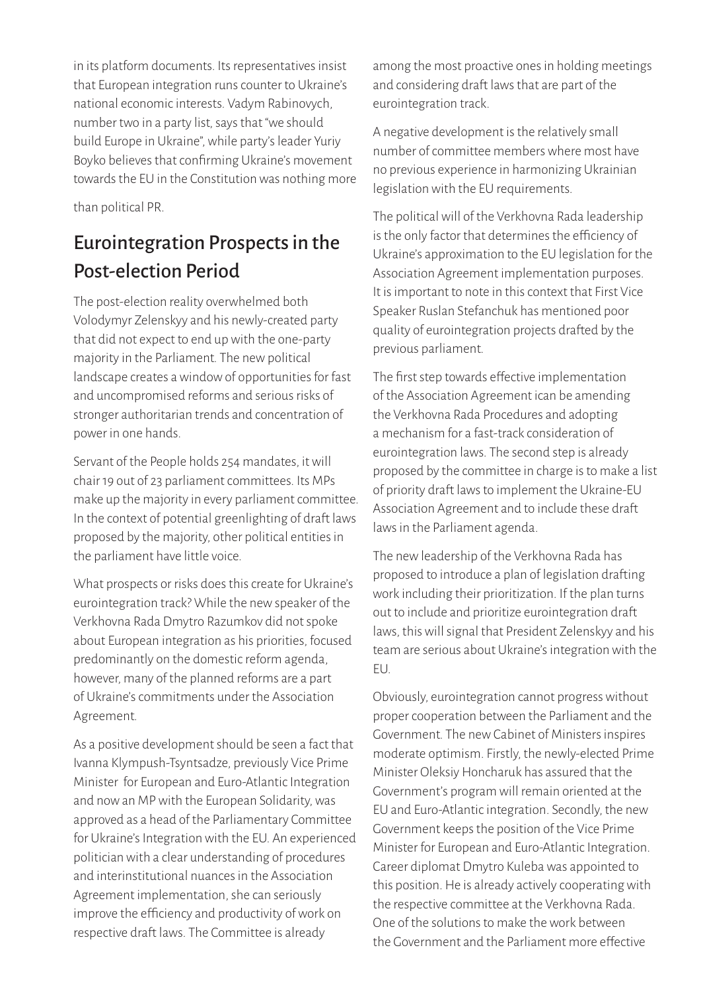in its platform documents. Its representatives insist that European integration runs counter to Ukraine's national economic interests. Vadym Rabinovych, number two in a party list, says that "we should build Europe in Ukraine", while party's leader Yuriy Boyko believes that confirming Ukraine's movement towards the EU in the Constitution was nothing more

than political PR.

## Eurointegration Prospects in the Post-election Period

The post-election reality overwhelmed both Volodymyr Zelenskyy and his newly-created party that did not expect to end up with the one-party majority in the Parliament. The new political landscape creates a window of opportunities for fast and uncompromised reforms and serious risks of stronger authoritarian trends and concentration of power in one hands.

Servant of the People holds 254 mandates, it will chair 19 out of 23 parliament committees. Its MPs make up the majority in every parliament committee. In the context of potential greenlighting of draft laws proposed by the majority, other political entities in the parliament have little voice.

What prospects or risks does this create for Ukraine's eurointegration track? While the new speaker of the Verkhovna Rada Dmytro Razumkov did not spoke about European integration as his priorities, focused predominantly on the domestic reform agenda, however, many of the planned reforms are a part of Ukraine's commitments under the Association Agreement.

As a positive development should be seen a fact that Ivanna Klympush-Tsyntsadze, previously Vice Prime Minister for European and Euro-Atlantic Integration and now an MP with the European Solidarity, was approved as a head of the Parliamentary Committee for Ukraine's Integration with the EU. An experienced politician with a clear understanding of procedures and interinstitutional nuances in the Association Agreement implementation, she can seriously improve the efficiency and productivity of work on respective draft laws. The Committee is already

among the most proactive ones in holding meetings and considering draft laws that are part of the eurointegration track.

A negative development is the relatively small number of committee members where most have no previous experience in harmonizing Ukrainian legislation with the EU requirements.

The political will of the Verkhovna Rada leadership is the only factor that determines the efficiency of Ukraine's approximation to the EU legislation for the Association Agreement implementation purposes. It is important to note in this context that First Vice Speaker Ruslan Stefanchuk has mentioned poor quality of eurointegration projects drafted by the previous parliament.

The first step towards effective implementation of the Association Agreement ican be amending the Verkhovna Rada Procedures and adopting a mechanism for a fast-track consideration of eurointegration laws. The second step is already proposed by the committee in charge is to make a list of priority draft laws to implement the Ukraine-EU Association Agreement and to include these draft laws in the Parliament agenda.

The new leadership of the Verkhovna Rada has proposed to introduce a plan of legislation drafting work including their prioritization. If the plan turns out to include and prioritize eurointegration draft laws, this will signal that President Zelenskyy and his team are serious about Ukraine's integration with the EU.

Obviously, eurointegration cannot progress without proper cooperation between the Parliament and the Government. The new Cabinet of Ministers inspires moderate optimism. Firstly, the newly-elected Prime Minister Oleksiy Honcharuk has assured that the Government's program will remain oriented at the EU and Euro-Atlantic integration. Secondly, the new Government keeps the position of the Vice Prime Minister for European and Euro-Atlantic Integration. Career diplomat Dmytro Kuleba was appointed to this position. He is already actively cooperating with the respective committee at the Verkhovna Rada. One of the solutions to make the work between the Government and the Parliament more effective